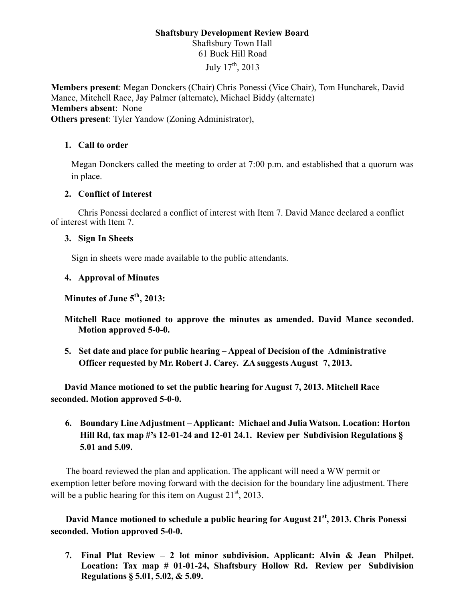# **Shaftsbury Development Review Board** Shaftsbury Town Hall 61 Buck Hill Road July  $17^{th}$ , 2013

**Members present**: Megan Donckers (Chair) Chris Ponessi (Vice Chair), Tom Huncharek, David Mance, Mitchell Race, Jay Palmer (alternate), Michael Biddy (alternate) **Members absent**: None **Others present**: Tyler Yandow (Zoning Administrator),

## **1. Call to order**

Megan Donckers called the meeting to order at 7:00 p.m. and established that a quorum was in place.

### **2. Conflict of Interest**

 Chris Ponessi declared a conflict of interest with Item 7. David Mance declared a conflict of interest with Item 7.

#### **3. Sign In Sheets**

Sign in sheets were made available to the public attendants.

### **4. Approval of Minutes**

**Minutes of June 5th, 2013:** 

**Mitchell Race motioned to approve the minutes as amended. David Mance seconded. Motion approved 5-0-0.** 

**5. Set date and place for public hearing – Appeal of Decision of the Administrative Officer requested by Mr. Robert J. Carey. ZA suggests August 7, 2013.** 

**David Mance motioned to set the public hearing for August 7, 2013. Mitchell Race seconded. Motion approved 5-0-0.** 

**6. Boundary Line Adjustment – Applicant: Michael and Julia Watson. Location: Horton Hill Rd, tax map #'s 12-01-24 and 12-01 24.1. Review per Subdivision Regulations § 5.01 and 5.09.** 

The board reviewed the plan and application. The applicant will need a WW permit or exemption letter before moving forward with the decision for the boundary line adjustment. There will be a public hearing for this item on August  $21<sup>st</sup>$ , 2013.

**David Mance motioned to schedule a public hearing for August 21st, 2013. Chris Ponessi seconded. Motion approved 5-0-0.**

**7. Final Plat Review – 2 lot minor subdivision. Applicant: Alvin & Jean Philpet. Location: Tax map # 01-01-24, Shaftsbury Hollow Rd. Review per Subdivision Regulations § 5.01, 5.02, & 5.09.**